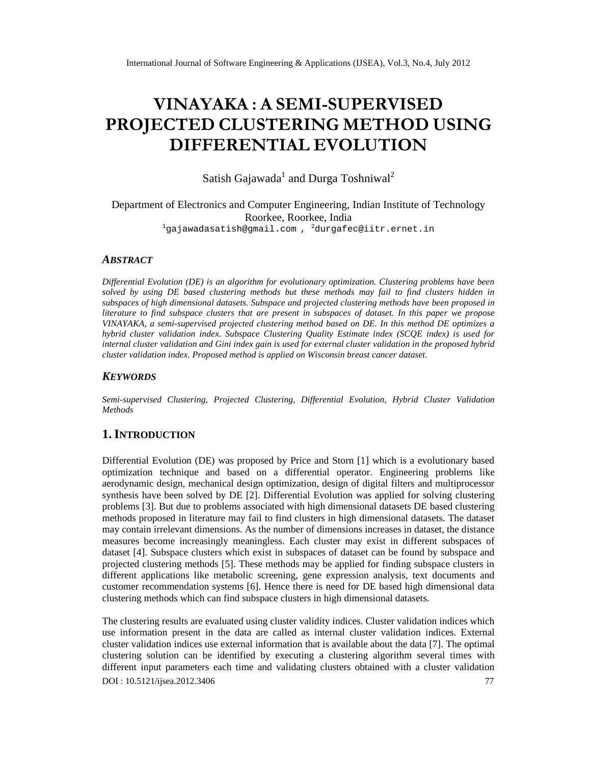# VINAYAKAA SEMISUPERVISED PROJECTOELDUSTERINNIESTHOUSING DIFFERENTEALOLUTION

Satish GajawadandDurga Toshniwal

# Department of Electronics and Computer Engineering ian Institute of Technology Roorkee, Roorkee, India <sup>1</sup>[gajawadasatish@gmail.com](mailto:1gajawadasatish@gmail.com) , <sup>2</sup>[durgafec@iitr.ernet.in](mailto:2durgafec@iitr.ernet)

# **ABSTRACT**

Differential Evolution (DE) is an algorithm for evolutionary optimization. Clustering problems have been solved by usg DE based clustering methodsut these methods may fail to find clusters hidden in subspaces of high dimensional datas8ts space and projected clustering methodse been proposed in literature to find subspace clusters that apresent in subspaces dataset.In this paper we propose VINAYAKA,a semisupervised projected clustering method based on DE. In this method DE optimizes a hybrid cluster validation index. Subspa Clustering Quality Estimatindex (SCQE index) is used for internal cluster alidation and Gini indexgainis used for external cluster validatiom the propose thy brid cluster validation indexProposed method is applied on Wisconsin breast cancer dataset.

# **KEYWORDS**

Semisupervised Custering Projected Custering, Differential Evolution, Hybrid Cluster Validation **Methods** 

# 1.I NTRODUCTION

Differential Evolution (DE) was proposed by Price and Storn [1] which is a evolutionary based optimization technique and based on a differential operation intering problems like aerodynamid esign, mechanical design optimization, design of digital filters multiprocessor synthesishave been solved by DEP. Diff erential Evolution was applie or solving clustering problems [3]. But due to problems associated with high dimensional datable based clustering methods proposed in literature ay fail to find clusters in high dimensional datasets. The dataset may contain irrelevant dimensions. As the number of dimensions increases in datasstantee d measures become increasing the aningless Each cluster may exist in different subspaces of datase[4]. Subspace clusters which exist in subspaces of dataset can be found by subspace and projected clustering methods [5]. These methods may be applied for finding subspace clusters in different applications like metabolic screening, gene expression analysis, text documents and customer recommendation systel®s Hence there is need for DE based high dimensional data clustering methods which can find subspace clusters in high dimensional stataset

DOI : 10.5121/ijsea.2012.3406 77 The clustering results are evaluated ungelustervalidity indices Cluster validation indices which use information present in the data are called nastrial cluster validation indices. External clustervalidationindicesuseexternal information hat is available about the data [7]. To the imal clustering solutioncan be identified by executing clustering algorithm several times ith different input parameterseach timeand validating clusters obtained with a cluster validation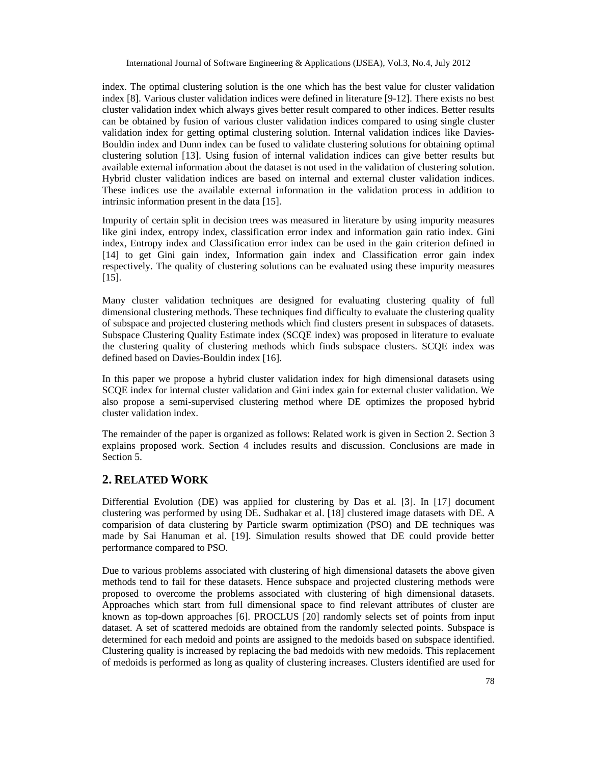index. The optimal clustering solution is the one which has the best value for cluster validation index [8]. Various cluster validation indices were defined in literature [9-12]. There exists no best cluster validation index which always gives better result compared to other indices. Better results can be obtained by fusion of various cluster validation indices compared to using single cluster validation index for getting optimal clustering solution. Internal validation indices like Davies-Bouldin index and Dunn index can be fused to validate clustering solutions for obtaining optimal clustering solution [13]. Using fusion of internal validation indices can give better results but available external information about the dataset is not used in the validation of clustering solution. Hybrid cluster validation indices are based on internal and external cluster validation indices. These indices use the available external information in the validation process in addition to intrinsic information present in the data [15].

Impurity of certain split in decision trees was measured in literature by using impurity measures like gini index, entropy index, classification error index and information gain ratio index. Gini index, Entropy index and Classification error index can be used in the gain criterion defined in [14] to get Gini gain index, Information gain index and Classification error gain index respectively. The quality of clustering solutions can be evaluated using these impurity measures [15].

Many cluster validation techniques are designed for evaluating clustering quality of full dimensional clustering methods. These techniques find difficulty to evaluate the clustering quality of subspace and projected clustering methods which find clusters present in subspaces of datasets. Subspace Clustering Quality Estimate index (SCQE index) was proposed in literature to evaluate the clustering quality of clustering methods which finds subspace clusters. SCQE index was defined based on Davies-Bouldin index [16].

In this paper we propose a hybrid cluster validation index for high dimensional datasets using SCQE index for internal cluster validation and Gini index gain for external cluster validation. We also propose a semi-supervised clustering method where DE optimizes the proposed hybrid cluster validation index.

The remainder of the paper is organized as follows: Related work is given in Section 2. Section 3 explains proposed work. Section 4 includes results and discussion. Conclusions are made in Section 5.

# **2. RELATED WORK**

Differential Evolution (DE) was applied for clustering by Das et al. [3]. In [17] document clustering was performed by using DE. Sudhakar et al. [18] clustered image datasets with DE. A comparision of data clustering by Particle swarm optimization (PSO) and DE techniques was made by Sai Hanuman et al. [19]. Simulation results showed that DE could provide better performance compared to PSO.

Due to various problems associated with clustering of high dimensional datasets the above given methods tend to fail for these datasets. Hence subspace and projected clustering methods were proposed to overcome the problems associated with clustering of high dimensional datasets. Approaches which start from full dimensional space to find relevant attributes of cluster are known as top-down approaches [6]. PROCLUS [20] randomly selects set of points from input dataset. A set of scattered medoids are obtained from the randomly selected points. Subspace is determined for each medoid and points are assigned to the medoids based on subspace identified. Clustering quality is increased by replacing the bad medoids with new medoids. This replacement of medoids is performed as long as quality of clustering increases. Clusters identified are used for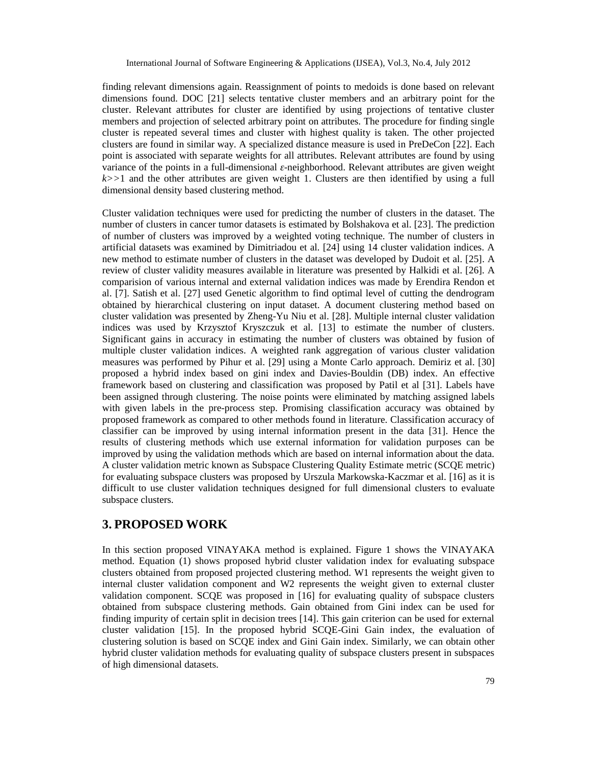finding relevant dimensions again. Reassignment of points to medoids is done based on relevant dimensions found. DOC [21] selects tentative cluster members and an arbitrary point for the cluster. Relevant attributes for cluster are identified by using projections of tentative cluster members and projection of selected arbitrary point on attributes. The procedure for finding single cluster is repeated several times and cluster with highest quality is taken. The other projected clusters are found in similar way. A specialized distance measure is used in PreDeCon [22]. Each point is associated with separate weights for all attributes. Relevant attributes are found by using variance of the points in a full-dimensional -neighborhood. Relevant attributes are given weight *k>>*1 and the other attributes are given weight 1. Clusters are then identified by using a full dimensional density based clustering method.

Cluster validation techniques were used for predicting the number of clusters in the dataset. The number of clusters in cancer tumor datasets is estimated by Bolshakova et al. [23]. The prediction of number of clusters was improved by a weighted voting technique. The number of clusters in artificial datasets was examined by Dimitriadou et al. [24] using 14 cluster validation indices. A new method to estimate number of clusters in the dataset was developed by Dudoit et al. [25]. A review of cluster validity measures available in literature was presented by Halkidi et al. [26]. A comparision of various internal and external validation indices was made by Erendira Rendon et al. [7]. Satish et al. [27] used Genetic algorithm to find optimal level of cutting the dendrogram obtained by hierarchical clustering on input dataset. A document clustering method based on cluster validation was presented by Zheng-Yu Niu et al. [28]. Multiple internal cluster validation indices was used by Krzysztof Kryszczuk et al. [13] to estimate the number of clusters. Significant gains in accuracy in estimating the number of clusters was obtained by fusion of multiple cluster validation indices. A weighted rank aggregation of various cluster validation measures was performed by Pihur et al. [29] using a Monte Carlo approach. Demiriz et al. [30] proposed a hybrid index based on gini index and Davies-Bouldin (DB) index. An effective framework based on clustering and classification was proposed by Patil et al [31]. Labels have been assigned through clustering. The noise points were eliminated by matching assigned labels with given labels in the pre-process step. Promising classification accuracy was obtained by proposed framework as compared to other methods found in literature. Classification accuracy of classifier can be improved by using internal information present in the data [31]. Hence the results of clustering methods which use external information for validation purposes can be improved by using the validation methods which are based on internal information about the data. A cluster validation metric known as Subspace Clustering Quality Estimate metric (SCQE metric) for evaluating subspace clusters was proposed by Urszula Markowska-Kaczmar et al. [16] as it is difficult to use cluster validation techniques designed for full dimensional clusters to evaluate subspace clusters.

# **3. PROPOSED WORK**

In this section proposed VINAYAKA method is explained. Figure 1 shows the VINAYAKA method. Equation (1) shows proposed hybrid cluster validation index for evaluating subspace clusters obtained from proposed projected clustering method. W1 represents the weight given to internal cluster validation component and W2 represents the weight given to external cluster validation component. SCQE was proposed in [16] for evaluating quality of subspace clusters obtained from subspace clustering methods. Gain obtained from Gini index can be used for finding impurity of certain split in decision trees [14]. This gain criterion can be used for external cluster validation [15]. In the proposed hybrid SCQE-Gini Gain index, the evaluation of clustering solution is based on SCQE index and Gini Gain index. Similarly, we can obtain other hybrid cluster validation methods for evaluating quality of subspace clusters present in subspaces of high dimensional datasets.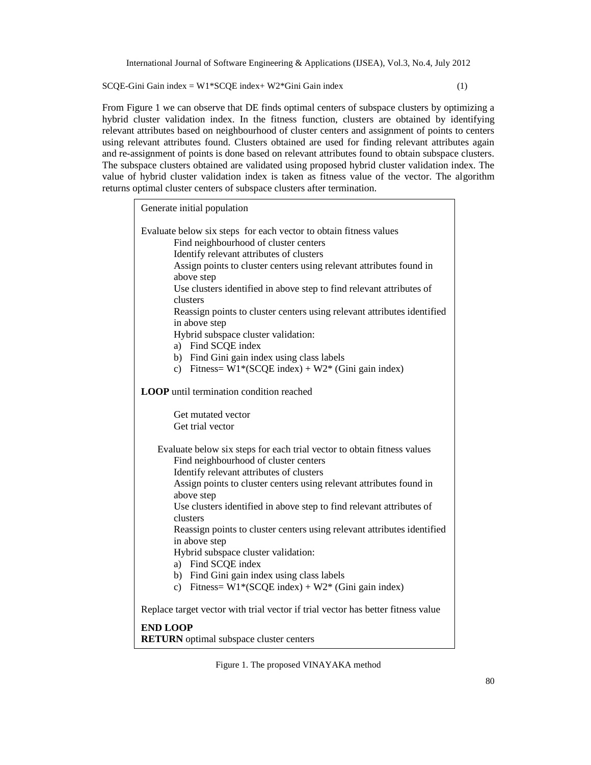$SCQE-Gini Gain index = W1*SCQE index + W2*Gini Gain index$  (1)

From Figure 1 we can observe that DE finds optimal centers of subspace clusters by optimizing a hybrid cluster validation index. In the fitness function, clusters are obtained by identifying relevant attributes based on neighbourhood of cluster centers and assignment of points to centers using relevant attributes found. Clusters obtained are used for finding relevant attributes again and re-assignment of points is done based on relevant attributes found to obtain subspace clusters. The subspace clusters obtained are validated using proposed hybrid cluster validation index. The value of hybrid cluster validation index is taken as fitness value of the vector. The algorithm returns optimal cluster centers of subspace clusters after termination.

Generate initial population Evaluate below six steps for each vector to obtain fitness values Find neighbourhood of cluster centers Identify relevant attributes of clusters Assign points to cluster centers using relevant attributes found in above step Use clusters identified in above step to find relevant attributes of clusters Reassign points to cluster centers using relevant attributes identified in above step Hybrid subspace cluster validation: a) Find SCQE index b) Find Gini gain index using class labels c) Fitness=  $W1*(SCQE index) + W2*(Gini gain index)$ **LOOP** until termination condition reached Get mutated vector Get trial vector Evaluate below six steps for each trial vector to obtain fitness values Find neighbourhood of cluster centers Identify relevant attributes of clusters Assign points to cluster centers using relevant attributes found in above step Use clusters identified in above step to find relevant attributes of clusters Reassign points to cluster centers using relevant attributes identified in above step Hybrid subspace cluster validation: a) Find SCQE index b) Find Gini gain index using class labels c) Fitness=  $W1*(SCQE index) + W2*(Gini gain index)$ Replace target vector with trial vector if trial vector has better fitness value **END LOOP RETURN** optimal subspace cluster centers

Figure 1. The proposed VINAYAKA method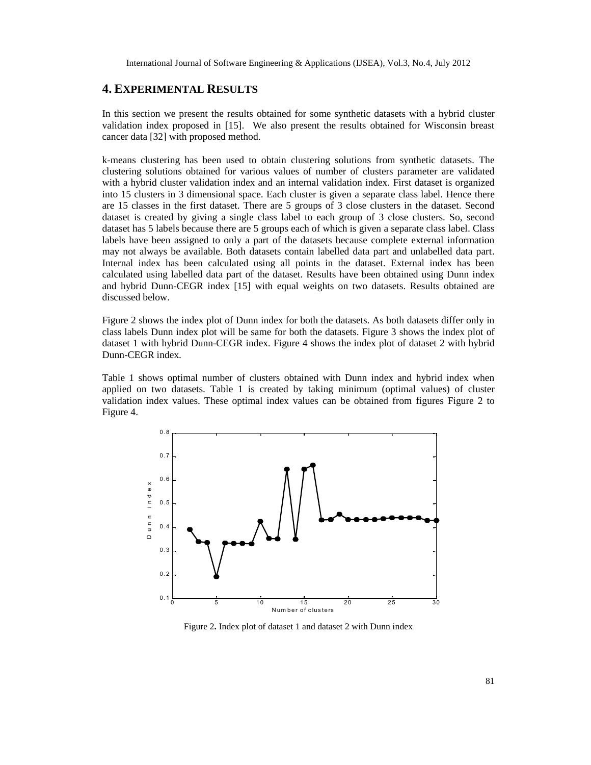### **4. EXPERIMENTAL RESULTS**

In this section we present the results obtained for some synthetic datasets with a hybrid cluster validation index proposed in [15]. We also present the results obtained for Wisconsin breast cancer data [32] with proposed method.

k-means clustering has been used to obtain clustering solutions from synthetic datasets. The clustering solutions obtained for various values of number of clusters parameter are validated with a hybrid cluster validation index and an internal validation index. First dataset is organized into 15 clusters in 3 dimensional space. Each cluster is given a separate class label. Hence there are 15 classes in the first dataset. There are 5 groups of 3 close clusters in the dataset. Second dataset is created by giving a single class label to each group of 3 close clusters. So, second dataset has 5 labels because there are 5 groups each of which is given a separate class label. Class labels have been assigned to only a part of the datasets because complete external information may not always be available. Both datasets contain labelled data part and unlabelled data part. Internal index has been calculated using all points in the dataset. External index has been calculated using labelled data part of the dataset. Results have been obtained using Dunn index and hybrid Dunn-CEGR index [15] with equal weights on two datasets. Results obtained are discussed below.

Figure 2 shows the index plot of Dunn index for both the datasets. As both datasets differ only in class labels Dunn index plot will be same for both the datasets. Figure 3 shows the index plot of dataset 1 with hybrid Dunn-CEGR index. Figure 4 shows the index plot of dataset 2 with hybrid Dunn-CEGR index.

Table 1 shows optimal number of clusters obtained with Dunn index and hybrid index when applied on two datasets. Table 1 is created by taking minimum (optimal values) of cluster validation index values. These optimal index values can be obtained from figures Figure 2 to Figure 4.



Figure 2**.** Index plot of dataset 1 and dataset 2 with Dunn index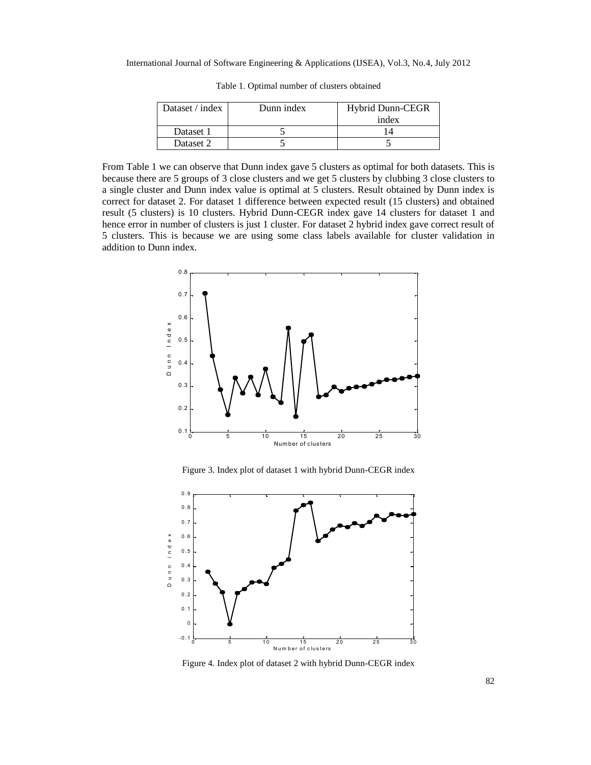International Journal of Software Engineering & Applications (IJSEA), Vol.3, No.4, July 2012

| Dataset / index | Dunn index | <b>Hybrid Dunn-CEGR</b><br>index |
|-----------------|------------|----------------------------------|
| Dataset 1       |            |                                  |
| Dataset 2       |            |                                  |

Table 1. Optimal number of clusters obtained

From Table 1 we can observe that Dunn index gave 5 clusters as optimal for both datasets. This is because there are 5 groups of 3 close clusters and we get 5 clusters by clubbing 3 close clusters to a single cluster and Dunn index value is optimal at 5 clusters. Result obtained by Dunn index is correct for dataset 2. For dataset 1 difference between expected result (15 clusters) and obtained result (5 clusters) is 10 clusters. Hybrid Dunn-CEGR index gave 14 clusters for dataset 1 and hence error in number of clusters is just 1 cluster. For dataset 2 hybrid index gave correct result of 5 clusters. This is because we are using some class labels available for cluster validation in addition to Dunn index.



Figure 3. Index plot of dataset 1 with hybrid Dunn-CEGR index



Figure 4. Index plot of dataset 2 with hybrid Dunn-CEGR index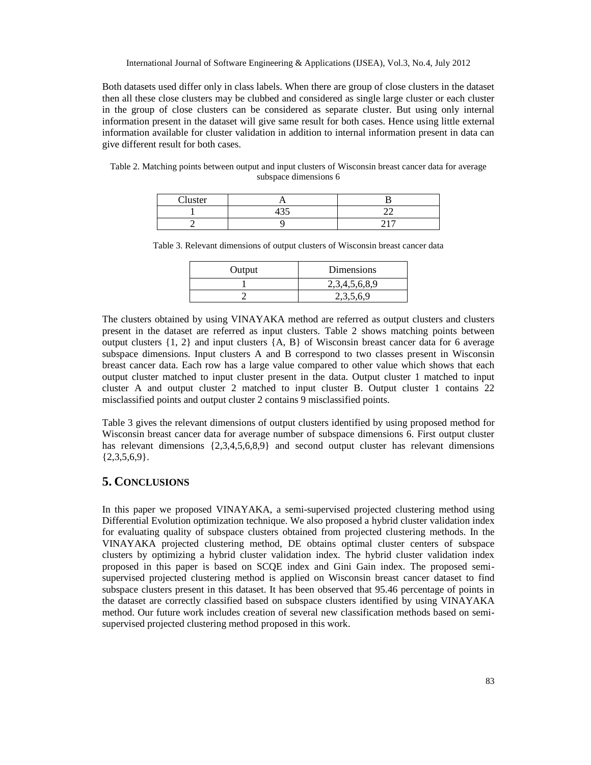Both datasets used differ only in class labels. When there are group of close clusters in the dataset then all these close clusters may be clubbed and considered as single large cluster or each cluster in the group of close clusters can be considered as separate cluster. But using only internal information present in the dataset will give same result for both cases. Hence using little external information available for cluster validation in addition to internal information present in data can give different result for both cases.

Table 2. Matching points between output and input clusters of Wisconsin breast cancer data for average subspace dimensions 6

| Cluster |                       |                 |
|---------|-----------------------|-----------------|
|         | $\Lambda \cap \Gamma$ | --              |
|         |                       | $\sim$ 1 $\sim$ |

Table 3. Relevant dimensions of output clusters of Wisconsin breast cancer data

| Output | Dimensions    |
|--------|---------------|
|        | 2,3,4,5,6,8,9 |
|        | 2,3,5,6,9     |

The clusters obtained by using VINAYAKA method are referred as output clusters and clusters present in the dataset are referred as input clusters. Table 2 shows matching points between output clusters  $\{1, 2\}$  and input clusters  $\{A, B\}$  of Wisconsin breast cancer data for 6 average subspace dimensions. Input clusters A and B correspond to two classes present in Wisconsin breast cancer data. Each row has a large value compared to other value which shows that each output cluster matched to input cluster present in the data. Output cluster 1 matched to input cluster A and output cluster 2 matched to input cluster B. Output cluster 1 contains 22 misclassified points and output cluster 2 contains 9 misclassified points.

Table 3 gives the relevant dimensions of output clusters identified by using proposed method for Wisconsin breast cancer data for average number of subspace dimensions 6. First output cluster has relevant dimensions  $\{2,3,4,5,6,8,9\}$  and second output cluster has relevant dimensions  ${2,3,5,6,9}.$ 

## **5. CONCLUSIONS**

In this paper we proposed VINAYAKA, a semi-supervised projected clustering method using Differential Evolution optimization technique. We also proposed a hybrid cluster validation index for evaluating quality of subspace clusters obtained from projected clustering methods. In the VINAYAKA projected clustering method, DE obtains optimal cluster centers of subspace clusters by optimizing a hybrid cluster validation index. The hybrid cluster validation index proposed in this paper is based on SCQE index and Gini Gain index. The proposed semisupervised projected clustering method is applied on Wisconsin breast cancer dataset to find subspace clusters present in this dataset. It has been observed that 95.46 percentage of points in the dataset are correctly classified based on subspace clusters identified by using VINAYAKA method. Our future work includes creation of several new classification methods based on semisupervised projected clustering method proposed in this work.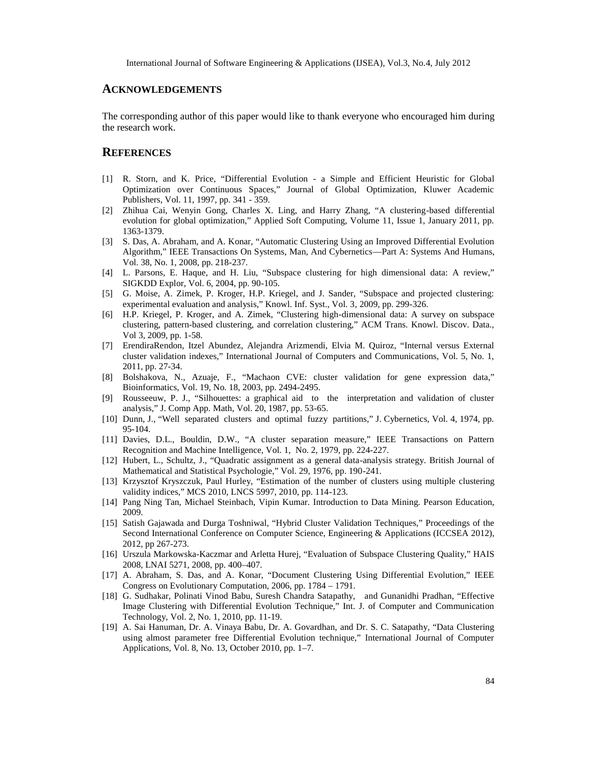#### **ACKNOWLEDGEMENTS**

The corresponding author of this paper would like to thank everyone who encouraged him during the research work.

#### **REFERENCES**

- [1] R. Storn, and K. Price, "Differential Evolution a Simple and Efficient Heuristic for Global Optimization over Continuous Spaces," Journal of Global Optimization, Kluwer Academic Publishers, Vol. 11, 1997, pp. 341 - 359.
- [2] Zhihua Cai, Wenyin Gong, Charles X. Ling, and Harry Zhang, "A clustering-based differential evolution for global optimization," Applied Soft Computing, Volume 11, Issue 1, January 2011, pp. 1363-1379.
- [3] S. Das, A. Abraham, and A. Konar, "Automatic Clustering Using an Improved Differential Evolution Algorithm," IEEE Transactions On Systems, Man, And Cybernetics—Part A: Systems And Humans, Vol. 38, No. 1, 2008, pp. 218-237.
- [4] L. Parsons, E. Haque, and H. Liu, "Subspace clustering for high dimensional data: A review," SIGKDD Explor, Vol. 6, 2004, pp. 90-105.
- [5] G. Moise, A. Zimek, P. Kroger, H.P. Kriegel, and J. Sander, "Subspace and projected clustering: experimental evaluation and analysis," Knowl. Inf. Syst., Vol. 3, 2009, pp. 299-326.
- [6] H.P. Kriegel, P. Kroger, and A. Zimek, "Clustering high-dimensional data: A survey on subspace clustering, pattern-based clustering, and correlation clustering," ACM Trans. Knowl. Discov. Data., Vol 3, 2009, pp. 1-58.
- [7] ErendiraRendon, Itzel Abundez, Alejandra Arizmendi, Elvia M. Quiroz, "Internal versus External cluster validation indexes," International Journal of Computers and Communications, Vol. 5, No. 1, 2011, pp. 27-34.
- [8] Bolshakova, N., Azuaje, F., "Machaon CVE: cluster validation for gene expression data," Bioinformatics, Vol. 19, No. 18, 2003, pp. 2494-2495.
- [9] Rousseeuw, P. J., "Silhouettes: a graphical aid to the interpretation and validation of cluster analysis," J. Comp App. Math, Vol. 20, 1987, pp. 53-65.
- [10] Dunn, J., "Well separated clusters and optimal fuzzy partitions," J. Cybernetics, Vol. 4, 1974, pp. 95-104.
- [11] Davies, D.L., Bouldin, D.W., "A cluster separation measure," IEEE Transactions on Pattern Recognition and Machine Intelligence, Vol. 1, No. 2, 1979, pp. 224-227.
- [12] Hubert, L., Schultz, J., "Quadratic assignment as a general data-analysis strategy. British Journal of Mathematical and Statistical Psychologie," Vol. 29, 1976, pp. 190-241.
- [13] Krzysztof Kryszczuk, Paul Hurley, "Estimation of the number of clusters using multiple clustering validity indices," MCS 2010, LNCS 5997, 2010, pp. 114-123.
- [14] Pang Ning Tan, Michael Steinbach, Vipin Kumar. Introduction to Data Mining. Pearson Education, 2009.
- [15] Satish Gajawada and Durga Toshniwal, "Hybrid Cluster Validation Techniques," Proceedings of the Second International Conference on Computer Science, Engineering & Applications (ICCSEA 2012), 2012, pp 267-273.
- [16] Urszula Markowska-Kaczmar and Arletta Hurej, "Evaluation of Subspace Clustering Quality," HAIS 2008, LNAI 5271, 2008, pp. 400–407.
- [17] A. Abraham, S. Das, and A. Konar, "Document Clustering Using Differential Evolution," IEEE Congress on Evolutionary Computation, 2006, pp. 1784 – 1791.
- [18] G. Sudhakar, Polinati Vinod Babu, Suresh Chandra Satapathy, and Gunanidhi Pradhan, "Effective Image Clustering with Differential Evolution Technique," Int. J. of Computer and Communication Technology, Vol. 2, No. 1, 2010, pp. 11-19.
- [19] A. Sai Hanuman, Dr. A. Vinaya Babu, Dr. A. Govardhan, and Dr. S. C. Satapathy, "Data Clustering using almost parameter free Differential Evolution technique," International Journal of Computer Applications, Vol. 8, No. 13, October 2010, pp. 1–7.